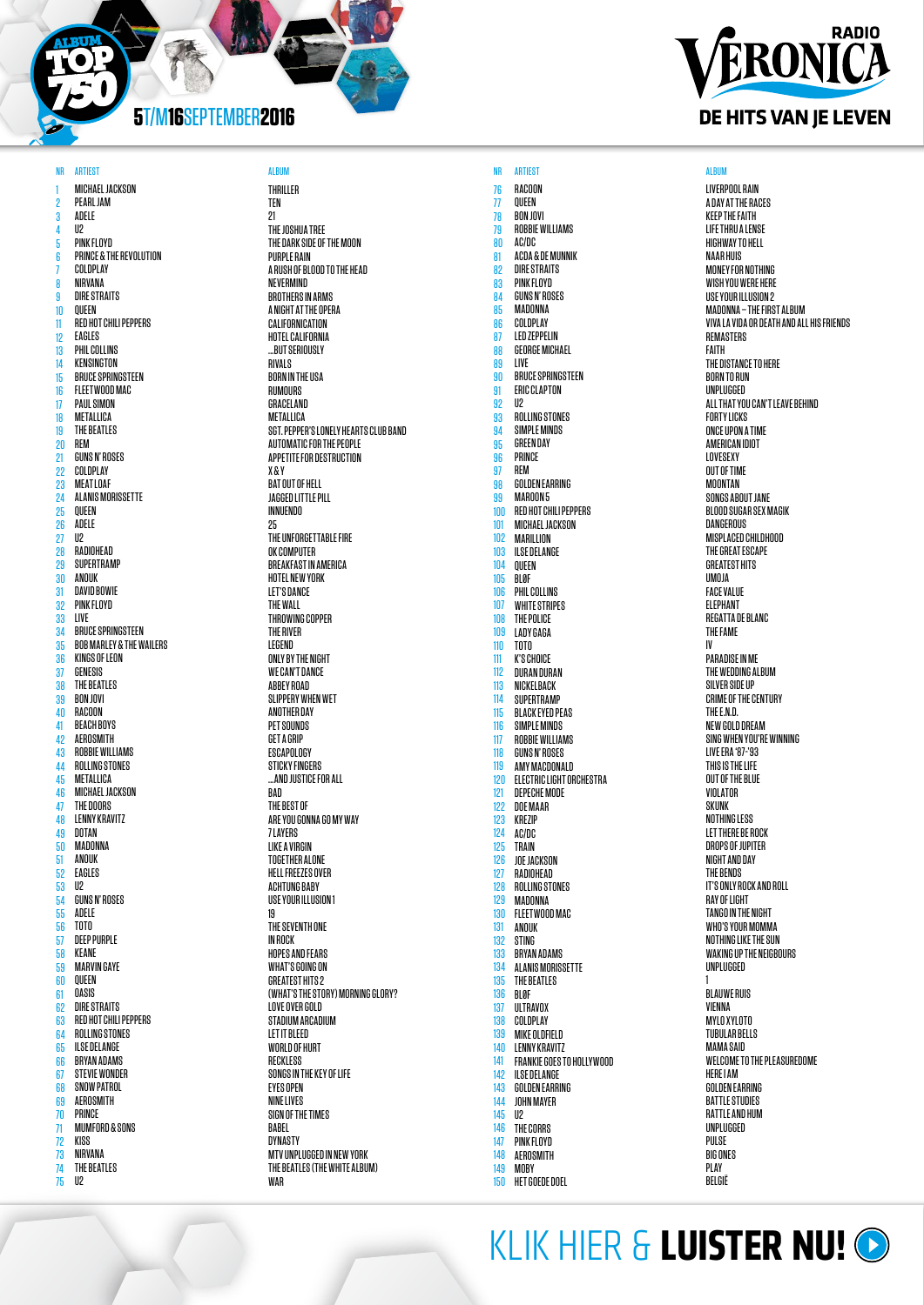1 2 3 4 5 6 7 8 9 10 11 12 13 14 15 16 17 18 19 20 21 22 23 24 25 26 27 28 29 30 31  $\overline{32}$ 33 34 35  $\frac{50}{36}$ 37 38 39  $40$ 41 42 43 44 45 46  $\ddot{47}$ 48 49 50 51 52 53 54 55 56  $57$ 58 59  $\overline{60}$ 61 **62** 63 64 65 66 67 68 69  $\overline{70}$ 71 72 73 74 75 MICHAEL JACKSON PEARL JAM ADELE  $II2$ PINK FLOYD PRINCE & THE REVOLUTION COLDPLAY NIRVANA DIRE STRAITS QUEEN RED HOT CHILI PEPPERS EAGLES PHIL COLLINS KENSINGTON BRUCE SPRINGSTEEN FLEETWOOD MAC PAUL SIMON METALLICA THE BEATLES REM GUNS N' ROSES COLDPLAY MEAT LOAF ALANIS MORISSETTE QUEEN ADELE  $\mathsf{II2}$ RADIOHEAD SUPERTRAMP ANOUK DAVID BOWIE PINK FLOYD LIVE BRUCE SPRINGSTEEN BOB MARLEY & THE WAILERS KINGS OF LEON GENESIS THE BEATLES BON JOVI **RACOON** BEACH BOYS AEROSMITH ROBBIE WILLIAMS ROLLING STONES METALLICA MICHAEL JACKSON THE DOORS LENNY KRAVITZ DOTAN MADONNA ANOUK EAGLES  $II2$ GUNS N' ROSES ADELE TOTO DEEP PURPLE KEANE MARVIN GAYE QUEEN OASIS DIRE STRAITS RED HOT CHILI PEPPERS ROLLING STONES ILSE DELANGE BRYAN ADAMS STEVIE WONDER SNOW PATROL AEROSMITH PRINCE MUMFORD & SONS KISS NIRVANA THE BEATLES  $II2$ 



76 77 78 79 80 81 82 83 84 85 86 87 88 89 90 91 92 93 94 95 96  $\frac{87}{97}$ 98 99 100 101 102 103 104 105 106 107 108 109 110 111 112 113 114 115 116 117 118 119 120 121 122 123 124 125 126 127 128 129 130 131 132 133 134 135 136 137 138 139 140 141 142 143 144 145 146 147 148 149 150 RACOON QUEEN BON JOVI ROBBIE WILLIAMS AC/DC ACDA & DE MUNNIK DIRE STRAITS PINK FLOYD GUNS N' ROSES MADONNA COLDPLAY LED ZEPPELIN GEORGE MICHAEL LIVE BRUCE SPRINGSTEEN **FRIC CLAPTON**  $II2$ ROLLING STONES SIMPLE MINDS GREEN DAY **PRINCE** REM GOLDEN EARRING MAROON 5 RED HOT CHILI PEPPERS MICHAEL JACKSON MARILLION ILSE DELANGE QUEEN BLØF PHIL COLLINS WHITE STRIPES THE POLICE LADY GAGA TOTO K'S CHOICE DURAN DURAN NICKELBACK SUPERTRAMP BLACK EYED PEAS SIMPLE MINDS ROBBIE WILLIAMS GUNS N' ROSES AMY MACDONALD ELECTRIC LIGHT ORCHESTRA DEPECHE MODE DOE MAAR KREZIP AC/DC TRAIN JOE JACKSON RADIOHEAD ROLLING STONES MADONNA FLEETWOOD MAC ANOUK STING BRYAN ADAMS **ALANIS MORISSETTE** THE BEATLES BLØF **ULTRAVOX** COLDPLAY MIKE OLDFIELD LENNY KRAVITZ FRANKIE GOES TO HOLLYWOOD ILSE DELANGE GOLDEN EARRING JOHN MAYER U2 THE CORRS PINK FLOYD AEROSMITH **MORY** HET GOEDE DOEL



LIVERPOOL RAIN A DAY AT THE RACES KEEP THE FAITH LIFE THRU A LENSE HIGHWAY TO HELL NAAR HUIS MONEY FOR NOTHING WISH YOU WERE HERE USE YOUR ILLUSION 2 MADONNA – THE FIRST AI RIIM VIVA LA VIDA OR DEATH AND ALL HIS FRIENDS REMASTERS FAITH THE DISTANCE TO HERE BORN TO RUN UNPLUGGED ALL THAT YOU CAN'T LEAVE BEHIND **FORTY LICKS** ONCE UPON A TIME AMERICAN IDIOT **LOVESEXY** OUT OF TIME MOONTAN SONGS AROUT JANE BLOOD SUGAR SEX MAGIK **DANGEROUS** MISPLACED CHILDHOOD THE GREAT ESCAPE GREATEST HITS UMOJA FACE VALUE **ELEPHANT** REGATTA DE BLANC THE FAME IV PARADISE IN ME THE WEDDING ALBUM SILVER SIDE UP CRIME OF THE CENTURY THE E.N.D. NEW GOLD DREAM SING WHEN YOU'RE WINNING LIVE ERA '87-'93 THIS IS THE LIFE OUT OF THE BLUE VIOLATOR **SKUNK** NOTHING LESS LET THERE BE ROCK DROPS OF IIIPITFR NIGHT AND DAY THE BENDS IT'S ONLY ROCK AND ROLL RAY OF LIGHT TANGO IN THE NIGHT WHO'S YOUR MOMMA NOTHING LIKE THE SUN WAKING UP THE NEIGBOURS UNPLUGGED 1 BLAUWE RUIS VIENNA MYLO XYLOTO TUBULAR BELLS MAMA SAID WELCOME TO THE PLEASUREDOME HERE I AM GOLDEN EARRING BATTLE STUDIES RATTLE AND HUM UNPLUGGED **PIII SF** BIG ONES **PLAY** BELGIË

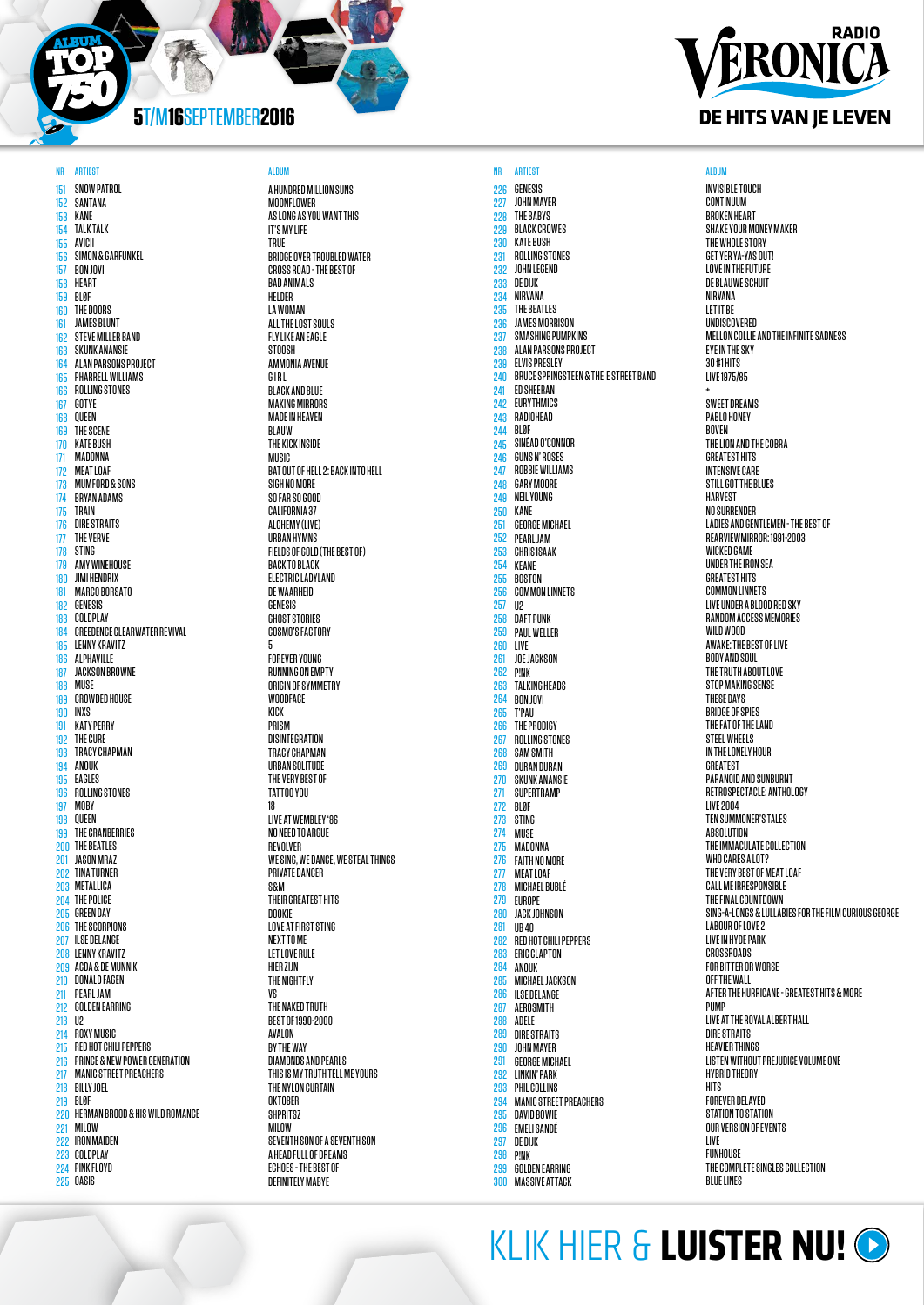151 152 153 154 155 156 157 158 159 160 161 182 163 164 165 166 167 168 169 170 171 172 173 174 175 176 177 178 179 180 181 182 183 184 185 186 187 188 189 190 191 192 193 194 195 196 197 198 199 200 201 202 TINA TURNER 203 204 THE POLICE 205 206 THE SCORPIONS 207 208 LENNY KRAVITZ 209 ACDA & DE MUNNIK 210 DONALD FAGEN 211 212 GOLDEN EARRING 213 U2 214 215 216 217 218 219 BLØF 220 HERMAN BROOD & HIS WILD ROMANCE 221 MILOW 222 IRON MAIDEN 223 COLDPLAY 224 PINK FLOYD 225 OASIS SNOW PATROL SANTANA KANE TALK TALK AVICII SIMON & GARFUNKEL BON JOVI HEART BLØF THE DOORS JAMES BLUNT STEVE MILLER BAND SKUNK ANANSIE ALAN PARSONS PROJECT PHARRELL WILLIAMS ROLLING STONES GOTYE QUEEN THE SCENE KATE BUSH **MADONNA** MEAT LOAF MUMFORD & SONS BRYAN ADAMS TRAIN DIRE STRAITS THE VERVE STING AMY WINEHOUSE JIMI HENDRIX MARCO BORSATO GENESIS COLDPLAY CREEDENCE CLEARWATER REVIVAL LENNY KRAVITZ ALPHAVILLE JACKSON BROWNE MUSE CROWDED HOUSE INXS KATY PERRY THE CURE TRACY CHAPMAN **ANNIK** EAGLES ROLLING STONES **MORY** QUEEN THE CRANBERRIES THE BEATLES JASON MRAZ METALLICA **GREEN DAY** ILSE DELANGE PEARL JAM ROXY MUSIC RED HOT CHILI PEPPERS PRINCE & NEW POWER GENERATION MANIC STREET PREACHERS BILLY JOEL

### A HUNDRED MILLION SUNS MOONEL OWED AS LONG AS YOU WANT THIS IT'S MY LIFE TRUE BRIDGE OVER TROUBLED WATER CROSS ROAD - THE BEST OF BAD ANIMALS HELDER LA WOMAN ALL THE LOST SOULS FLY LIKE AN EAGLE **STOOSH** AMMONIA AVENUE G I R L BLACK AND BLUE MAKING MIRRORS MADE IN HEAVEN **BLAUW** THE KICK INSIDE **MIISIC** SIGH NO MORE SO FAR SO GOOD CALIFORNIA 37 ALCHEMY (LIVE) URBAN HYMNS BACK TO BLACK ELECTRIC LADYLAND DE WAARHEID GENESIS

BAT OUT OF HELL 2: BACK INTO HELL FIELDS OF GOLD (THE BEST OF) GHOST STORIES COSMO'S FACTORY 5 FOREVER YOUNG RUNNING ON EMPTY ORIGIN OF SYMMETRY **WOODFACE** KICK PRISM DISINTEGRATION TRACY CHAPMAN URBAN SOLITUDE THE VERY BEST OF TATTOO YOU 18 LIVE AT WEMBLEY '86 NO NEED TO ARGUE REVOLVER WE SING, WE DANCE, WE STEAL THINGS PRIVATE DANCER S&M THEIR GREATEST HITS DOOKIE LOVE AT FIRST STING NEXT TO ME LET LOVE RULE HIFR 71 IN THE NIGHTFLY VS THE NAKED TRUTH BEST OF 1990-2000 AVALON BY THE WAY DIAMONDS AND PEARLS THIS IS MY TRUTH TELL ME YOURS THE NYLON CURTAIN **OKTOBER SHPRITSZ** MILOW SEVENTH SON OF A SEVENTH SON A HEAD FULL OF DREAMS ECHOES - THE BEST OF DEFINITELY MABYE

### NR ARTIEST DES SALBUM ALBUM ALBUM ANN ARTIEST NA ARTIEST ALBUM ANN ARTIEST ALBUM ANN ARTIEST ALBUM ANN ARTIEST 226 GENESIS 227 228 229 230 231 232 233 234 235 236 237 238 239 240 241 242 243 244 245 246 247 248  $249$ 250 251 252 253 254 255 256 257 258 259 260 261 262 263 264 265 266 267 268 269 270 271 272 273 274 275 276 277 278 279 280 281 282 283 284 285 286 287 288 289 290 291 292 293 294 295 296 297 298 200 300 JOHN MAYER THE BABYS BLACK CROWES KATE BUSH ROLLING STONES JOHN LEGEND DE DIJK NIRVANA THE BEATLES JAMES MORRISON SMASHING PUMPKINS ALAN PARSONS PROJECT ELVIS PRESLEY BRUCE SPRINGSTEEN & THE E STREET BAND ED SHEERAN EURYTHMICS RADIOHEAD BLØF SINÉAD O'CONNOR GUNS N' ROSES ROBBIE WILLIAMS GARY MOORE NEIL YOUNG KANE GEORGE MICHAEL PEARL JAM CHRIS ISAAK KEANE BOSTON COMMON LINNETS U2 DAFT PUNK PAUL WELLER LIVE JOE JACKSON P!NK TALKING HEADS BON JOVI T'PAU THE PRODIGY ROLLING STONES SAM SMITH DURAN DURAN SKUNK ANANSIE **SUPERTRAMP** BLØF STING MUSE **MADONNA** FAITH NO MORE MEAT LOAF MICHAEL BUBLÉ EUROPE JACK JOHNSON UB 40 RED HOT CHILI PEPPERS ERIC CLAPTON **ANNIK** MICHAEL JACKSON ILSE DELANGE AEROSMITH ADELE DIRE STRAITS JOHN MAYER GEORGE MICHAEL LINKIN' PARK PHIL COLLINS MANIC STREET PREACHERS DAVID BOWIE **EMELI SANDÉ** DE DIJK P!NK GOLDEN EARRING MASSIVE ATTACK

# **RADIO** ERONICA DE HITS VAN JE LEVEN

INVISIBLE TOUCH **CONTINUUM** BROKEN HEART SHAKE YOUR MONEY MAKER THE WHOLE STORY GET YER YA-YAS OUT! LOVE IN THE FUTURE DE BLAUWE SCHUIT NIRVANA LET IT BE UNDISCOVERED MELLON COLLIE AND THE INFINITE SADNESS EYE IN THE SKY 30 #1 HITS LIVE 1975/85 + SWEET DREAMS PABLO HONEY BOVEN THE LION AND THE COBRA **GREATEST HITS** INTENSIVE CARE STILL GOT THE BLUES HARVEST NO SURRENDER LADIES AND GENTLEMEN - THE BEST OF REARVIEWMIRROR: 1991-2003 WICKED GAME UNDER THE IRON SEA GREATEST HITS COMMON LINNETS LIVE UNDER A BLOOD RED SKY RANDOM ACCESS MEMORIES WILD WOOD AWAKE: THE BEST OF LIVE BODY AND SOUL THE TRUTH ABOUT LOVE STOP MAKING SENSE THESE DAYS BRIDGE OF SPIES THE FAT OF THE LAND STEEL WHEELS IN THE LONELY HOUR GREATEST PARANOID AND SUNBURNT RETROSPECTACLE: ANTHOLOGY LIVE 2004 TEN SUMMONER'S TALES **ABSOLUTION** THE IMMACULATE COLLECTION WHO CARES A LOT? THE VERY BEST OF MEAT LOAF CALL ME IRRESPONSIBLE THE FINAL COUNTDOWN SING-A-LONGS & LULLABIES FOR THE FILM CURIOUS GEORGE LABOUR OF LOVE 2 LIVE IN HYDE PARK **CROSSROADS** FOR BITTER OR WORSE OFF THE WALL AFTER THE HURRICANE - GREATEST HITS & MORE PUMP LIVE AT THE ROYAL ALBERT HALL DIRE STRAITS HEAVIER THINGS LISTEN WITHOUT PREJUDICE VOLUME ONE HYBRID THEORY **HITS** FOREVER DELAYED STATION TO STATION OUR VERSION OF EVENTS LIVE **FUNHOUSE** THE COMPLETE SINGLES COLLECTION **BLUE LINES**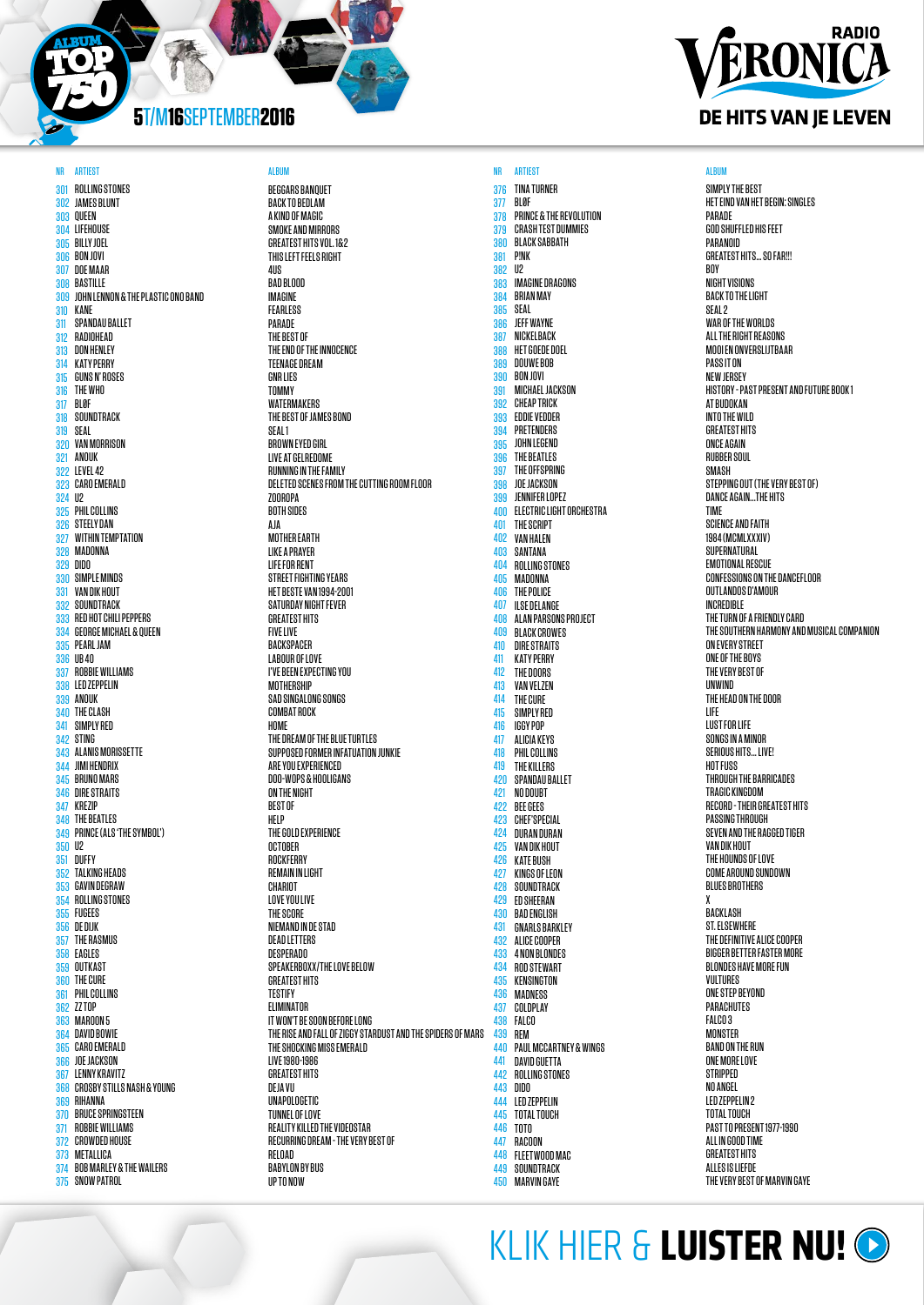301 ROLLING STONES 302 303 304 LIFEHOUSE 305 306 307 DOE MAAR 308 BASTILLE 309 310 KANE 311 312 313 DON HENLEY 314 KATY PERRY 315 316 THE WHO 317 BLØF 318 319 SEAL 320 VAN MORRISON 321 ANOUK 322 LEVEL 42 323 CARO EMERALD 324 U2 325 PHIL COLLINS 326 STEELY DAN 327 WITHIN TEMPTATION 328 MADONNA 329 DIDO 330 SIMPLE MINDS 331 VAN DIK HOUT 332 SOUNDTRACK 333 RED HOT CHILI PEPPERS 334 GEORGE MICHAEL & QUEEN 335 PEARL JAM 336 UB 40 337 ROBBIE WILLIAMS 338 LED ZEPPELIN 339 ANOUK 340 THE CLASH 341 SIMPLY RED 342 STING 343 ALANIS MORISSETTE 344 JIMI HENDRIX 345 BRUNO MARS 346 DIRE STRAITS 347 KREZIP 348 THE BEATLES 349 PRINCE (ALS 'THE SYMBOL') 350 U2 351 DUFFY 352 TALKING HEADS 353 354 355 FUGEES 356 DE DIJK 357 THE RASMUS 358 EAGLES 359 360 THE CURE 361 362 ZZ TOP 363 364 365 366 367 LENNY KRAVITZ 368 369 RIHANNA 370 BRUCE SPRINGSTEEN 371 ROBBIE WILLIAMS 372 CROWDED HOUSE 373 METALLICA 374 BOB MARLEY & THE WAILERS 375 SNOW PATROL JAMES BLUNT QUEEN BILLY JOEL BON JOVI JOHN LENNON & THE PLASTIC ONO BAND SPANDAU BALLET RADIOHEAD GUNS N' ROSES SOUNDTRACK GAVIN DEGRAW ROLLING STONES **OUTKAST** PHIL COLLINS MAROON 5 DAVID BOWIE CARO EMERALD JOE JACKSON CROSBY STILLS NASH & YOUNG

NR ARTIEST DES SALBUM ALBUM ALBUM ANN ARTIEST NA ARTIEST ALBUM ANN ARTIEST ALBUM ANN ARTIEST ALBUM ANN ARTIEST BEGGARS BANQUET BACK TO BEDLAM A KIND OF MAGIC SMOKE AND MIRRORS GREATEST HITS VOL. 1&2 THIS LEFT FEELS RIGHT 4US BAD BLOOD IMAGINE FEARLESS **PARADE** THE BEST OF THE END OF THE INNOCENCE TEENAGE DREAM **GNR LIFS TOMMY** WATERMAKERS THE BEST OF JAMES BOND SEAL 1 BROWN EYED GIRL LIVE AT GELREDOME RUNNING IN THE FAMILY DELETED SCENES FROM THE CUTTING ROOM FLOOR **ZOOROPA** BOTH SIDES AJA MOTHER EARTH LIKE A PRAYER LIFE FOR RENT STREET FIGHTING YEARS HET BESTE VAN 1994-2001 SATURDAY NIGHT FEVER **GREATEST HITS FIVE LIVE BACKSPACER** LABOUR OF LOVE I'VE BEEN EXPECTING YOU **MOTHERSHIP** SAD SINGALONG SONGS COMBAT ROCK HOME THE DREAM OF THE BLUE TURTLES SUPPOSED FORMER INFATUATION JUNKIE ARE YOU EXPERIENCED DOO-WOPS & HOOLIGANS ON THE NIGHT BEST OF HELP THE GOLD EXPERIENCE OCTOBER **ROCKFERRY** REMAIN IN LIGHT CHARIOT LOVE YOU LIVE THE SCORE NIEMAND IN DE STAD DEAD LETTERS **DESPERADO** SPEAKERBOXX/THE LOVE BELOW **GREATEST HITS** TESTIFY ELIMINATOR IT WON'T BE SOON BEFORE LONG THE RISE AND FALL OF ZIGGY STARDUST AND THE SPIDERS OF MARS THE SHOCKING MISS EMERALD LIVE 1980-1986 **GREATEST HITS** DEJA VU UNAPOLOGETIC TUNNEL OF LOVE REALITY KILLED THE VIDEOSTAR RECURRING DREAM - THE VERY BEST OF RELOAD BABYLON BY BUS

**UP TO NOW** 

376 TINA TURNER 377 378 379 380 381 382 383 384 385 386 387 388 389 390 391 392 393 394 395 396 397 398 399 400 401 402 403 404 405 406 407  $\overline{AB}$ 409 410 411 412 413 414 415 416 417 418 419 420 421 422 423 424 425 426 427 428 429 430 431 432 433 434 435 436 437 438 439 440 441 442 ROLLING STONES 443 **AAA** 445 446 447 448 449 SOUNDTRACK 450 MARVIN GAYEBLØF PRINCE & THE REVOLUTION CRASH TEST DUMMIES BLACK SABBATH P!NK  $\mathsf{II2}$ IMAGINE DRAGONS BRIAN MAY SEAL JEFF WAYNE NICKELBACK HET GOEDE DOEL DOUWE BOB BON JOVI MICHAEL JACKSON CHEAP TRICK EDDIE VEDDER PRETENDERS JOHN LEGEND THE BEATLES THE OFFSPRING JOE JACKSON JENNIFER LOPEZ ELECTRIC LIGHT ORCHESTRA THE SCRIPT VAN HALEN SANTANA ROLLING STONES MADONNA THE POLICE ILSE DELANGE ALAN PARSONS PROJECT BLACK CROWES DIRE STRAITS KATY PERRY THE DOORS VAN VELZEN THE CURE SIMPLY RED IGGY POP ALICIA KEYS PHIL COLLINS THE KILLERS SPANDAU BALLET NO DOUBT BEE GEES CHEF'SPECIAL DURAN DURAN VAN DIK HOUT KATE BUSH KINGS OF LEON SOUNDTRACK ED SHEERAN BAD ENGLISH GNARLS BARKLEY ALICE COOPER 4 NON BLONDES ROD STEWART KENSINGTON MADNESS COLDPLAY FALCO REM PAUL MCCARTNEY & WINGS DAVID GUETTA DIDO LED ZEPPELIN TOTAL TOUCH TOTO **RACOON** FLEETWOOD MAC

## **RADIO** ERONICA DE HITS VAN JE LEVEN

SIMPLY THE BEST HET EIND VAN HET BEGIN: SINGLES PARADE GOD SHUFFLED HIS FEET PARANOID GREATEST HITS… SO FAR!!! BOY NIGHT VISIONS BACK TO THE LIGHT SE<sub>AL</sub><sub>2</sub> WAR OF THE WORLDS ALL THE RIGHT REASONS MOOI EN ONVERSLIJTBAAR PASS IT ON **NEW IFRSEY** HISTORY - PAST PRESENT AND FUTURE BOOK 1 AT BUDOKAN INTO THE WILD GREATEST HITS ONCE AGAIN **RUBBER SOUL** SMASH STEPPING OUT (THE VERY BEST OF) DANCE AGAIN...THE HITS TIME SCIENCE AND FAITH 1984 (MCMLXXXIV) SUPERNATURAL EMOTIONAL RESCUE CONFESSIONS ON THE DANCEFLOOR OUTLANDOS D'AMOUR INCREDIBLE THE TURN OF A FRIENDLY CARD THE SOUTHERN HARMONY AND MUSICAL COMPANION ON EVERY STREET ONE OF THE BOYS THE VERY BEST OF UNWIND THE HEAD ON THE DOOR LIFE LUST FOR LIFE SONGS IN A MINOR SERIOUS HITS... LIVE! HOT FUSS THROUGH THE BARRICADES TRAGIC KINGDOM RECORD - THEIR GREATEST HITS PASSING THROUGH SEVEN AND THE RAGGED TIGER VAN DIK HOUT THE HOUNDS OF LOVE COME AROUND SUNDOWN BLUES BROTHERS BACKLASH ST. ELSEWHERE THE DEFINITIVE ALICE COOPER BIGGER BETTER FASTER MORE BLONDES HAVE MORE FUN VULTURES ONE STEP BEYOND PARACHUTES FALCO<sub>3</sub> **MONSTER** BAND ON THE RUN ONE MORE LOVE STRIPPED NO ANGEL LED ZEPPELIN 2 TOTAL TOUCH PAST TO PRESENT 1977-1990 ALL IN GOOD TIME GREATEST HITS ALLES IS LIEFDE THE VERY BEST OF MARVIN GAYE

KLIK HIER & **[LUISTER NU!](http://www.radioveronica.nl/player/radio-veronica)**

X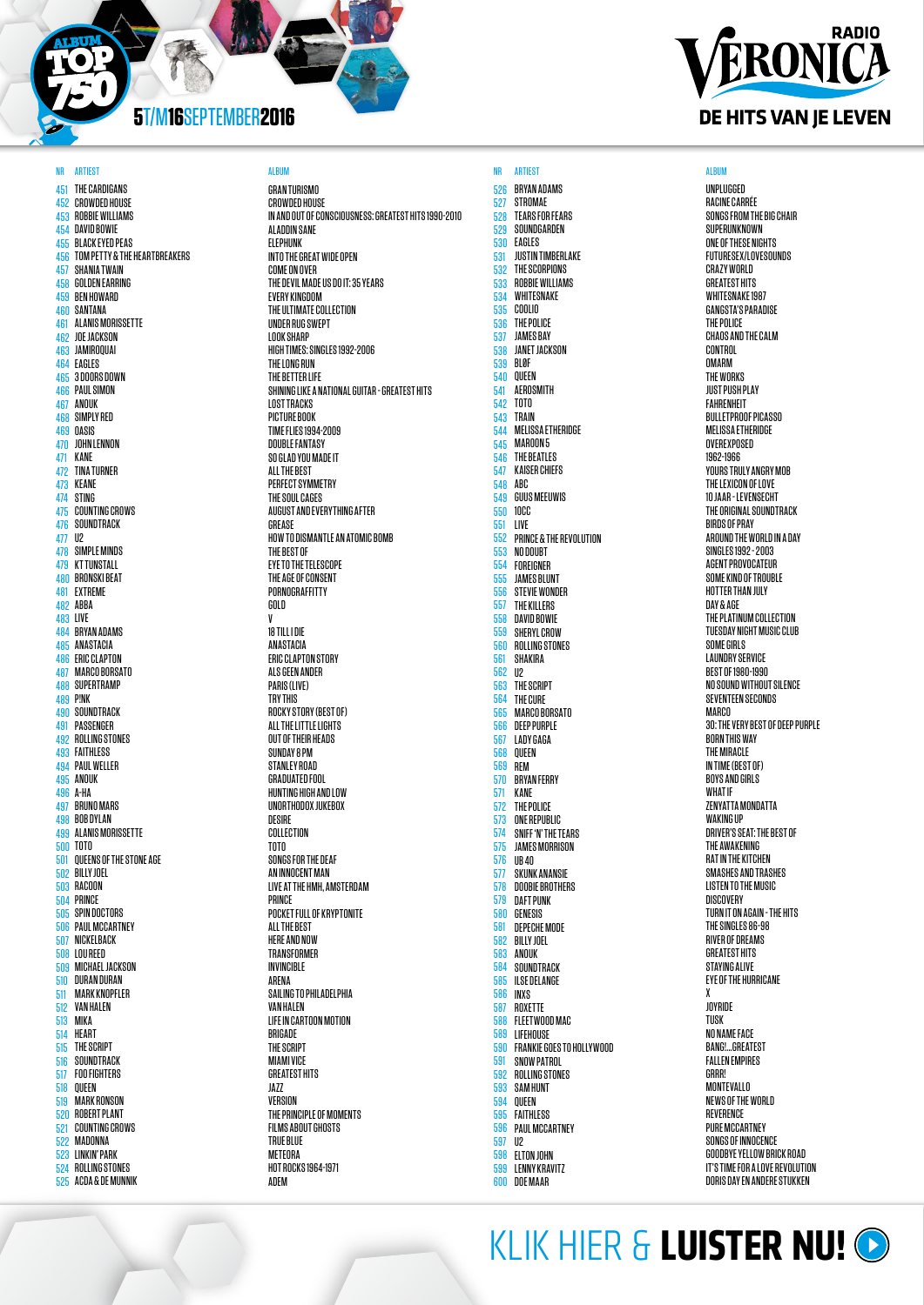

451 THE CARDIGANS 452 453 454 DAVID BOWIE 455 456 457 SHANIA TWAIN 458 GOLDEN EARRING 459 BEN HOWARD 460 SANTANA 461 ALANIS MORISSETTE 462 JOE JACKSON 463 JAMIROQUAI 464 EAGLES 465 3 DOORS DOWN 466 PAUL SIMON 467 ANOUK 468 SIMPLY RED 469 OASIS 470 JOHN LENNON 471 472 TINA TURNER 473 KEANE 474 STING 475 COUNTING CROWS 476 SOUNDTRACK 477 U2 478 SIMPLE MINDS 479 KT TUNSTALL 480 481 EXTREME 482 ABBA 483 LIVE 484 BRYAN ADAMS 485 ANASTACIA 486 ERIC CLAPTON 487 MARCO BORSATO 488 SUPERTRAMP 489 P!NK 490 SOUNDTRACK 491 PASSENGER 492 493 FAITHLESS 494 PAUL WELLER 495 ANOUK 496 A-HA 497 BRUNO MARS 498 BOB DYLAN 499 ALANIS MORISSETTE 500 TOTO 501 502 BILLY JOEL 503 504 PRINCE 505 506 507 508 LOU REED 509 510 DURAN DURAN 511 512 VAN HALEN 513 514 515 516 517 518 519 520 ROBERT PLANT 521 COUNTING CROWS 522 MADONNA 523 LINKIN' PARK 524 ROLLING STONES 525 ACDA & DE MUNNIK CROWDED HOUSE ROBBIE WILLIAMS BLACK EYED PEAS TOM PETTY & THE HEARTBREAKERS KANE BRONSKI BEAT ROLLING STONES QUEENS OF THE STONE AGE RACOON SPIN DOCTORS PAUL MCCARTNEY NICKELBACK MICHAEL JACKSON MARK KNOPFLER MIKA **HEART** THE SCRIPT SOUNDTRACK FOO FIGHTERS QUEEN MARK RONSON

NR ARTIEST DES SALBUM ALBUM ALBUM ANN ARTIEST NA ARTIEST ALBUM ANN ARTIEST ALBUM ANN ARTIEST ALBUM ANN ARTIEST **GRAN TURISMO** CROWDED HOUSE IN AND OUT OF CONSCIOUSNESS: GREATEST HITS 1990-2010 ALADDIN SANE ELEPHUNK INTO THE GREAT WIDE OPEN COME ON OVER THE DEVIL MADE US DO IT: 35 YEARS EVERY KINGDOM THE ULTIMATE COLLECTION UNDER RUG SWEPT LOOK SHARP HIGH TIMES: SINGLES 1992-2006 THE LONG RUN THE BETTER LIFE SHINING LIKE A NATIONAL GUITAR - GREATEST HITS LOST TRACKS PICTURE BOOK TIME FLIES 1994-2009 DOUBLE FANTASY SO GLAD YOU MADE IT **ALL THE REST** PERFECT SYMMETRY THE SOUL CAGES AUGUST AND EVERYTHING AFTER GREASE HOW TO DISMANTLE AN ATOMIC BOMB THE BEST OF EYE TO THE TELESCOPE THE AGE OF CONSENT PORNOGRAFFITTY GOLD V 18 TILL I DIE ANASTACIA ERIC CLAPTON STORY ALS GEEN ANDER PARIS (LIVE) TRY THIS ROCKY STORY (BEST OF) ALL THE LITTLE LIGHTS OUT OF THEIR HEADS SUNDAY 8 PM STANLEY ROAD GRADUATED FOOL HUNTING HIGH AND LOW UNORTHODOX JUKEBOX DESIRE COLLECTION TOTO SONGS FOR THE DEAF AN INNOCENT MAN LIVE AT THE HMH, AMSTERDAM PRINCE POCKET FULL OF KRYPTONITE ALL THE BEST HERE AND NOW **TRANSFORMFR** INVINCIBLE ARENA SAILING TO PHILADELPHIA VAN HALEN LIFE IN CARTOON MOTION BRIGADE THE SCRIPT MIAMI VICE **GREATEST HITS** JAZZ VERSION THE PRINCIPLE OF MOMENTS FILMS ABOUT GHOSTS TRUE BLUE METEORA HOT ROCKS 1964-1971 ADEM



# **RADIO** ERONICA DE HITS VAN JE LEVEN

UNPLUGGED RACINE CARRÉE SONGS FROM THE BIG CHAIR SUPERUNKNOWN ONE OF THESE NIGHTS FUTURESEX/LOVESOUNDS CRAZY WORLD **GREATEST HITS** WHITESNAKE 1987 GANGSTA'S PARADISE THE POLICE CHAOS AND THE CALM **CONTROL OMARM** THE WORKS JUST PUSH PLAY FAHRENHEIT BULLETPROOF PICASSO MELISSA ETHERIDGE OVEREXPOSED 1962-1966 YOURS TRULY ANGRY MOB THE LEXICON OF LOVE 10 JAAR - LEVENSECHT THE ORIGINAL SOUNDTRACK BIRDS OF PRAY AROUND THE WORLD IN A DAY SINGLES 1992 - 2003 AGENT PROVOCATEUR SOME KIND OF TROUBLE HOTTER THAN JULY DAY & AGE THE PLATINUM COLLECTION TUESDAY NIGHT MUSIC CLUB SOME GIRLS LAUNDRY SERVICE BEST OF 1980-1990 NO SOUND WITHOUT SILENCE SEVENTEEN SECONDS **MARCO** 30: THE VERY BEST OF DEEP PURPLE BORN THIS WAY THE MIRACLE IN TIME (BEST OF) BOYS AND GIRLS WHAT IF ZENYATTA MONDATTA WAKING **IIF** DRIVER'S SEAT: THE BEST OF THE AWAKENING RAT IN THE KITCHEN SMASHES AND TRASHES LISTEN TO THE MUSIC DISCOVERY TURN IT ON AGAIN - THE HITS THE SINGLES 86-98 RIVER OF DREAMS GREATEST HITS STAYING ALIVE EYE OF THE HURRICANE X JOYRIDE TUSK NO NAME FACE BANG!...GREATEST FALLEN EMPIRES **GRRR** MONTEVALLO NEWS OF THE WORLD REVERENCE PURE MCCARTNEY SONGS OF INNOCENCE GOODBYE YELLOW BRICK ROAD IT'S TIME FOR A LOVE REVOLUTION DORIS DAY EN ANDERE STUKKEN